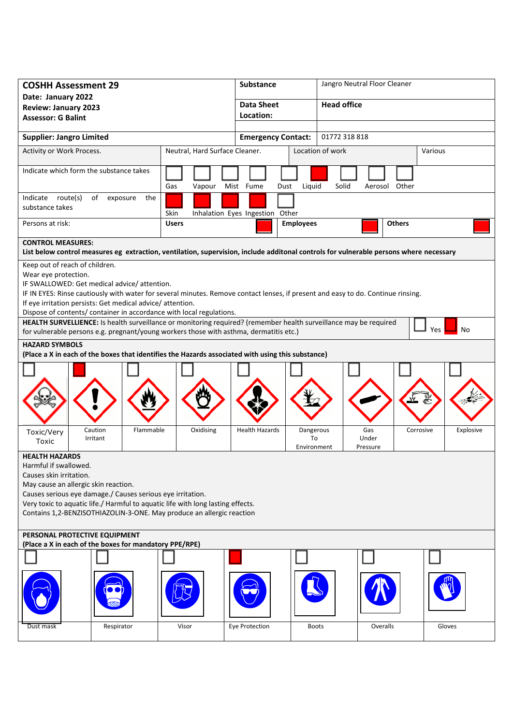| <b>COSHH Assessment 29</b>                                                                                                                                                                                                      |              | Substance                 |                                                            | Jangro Neutral Floor Cleaner |  |
|---------------------------------------------------------------------------------------------------------------------------------------------------------------------------------------------------------------------------------|--------------|---------------------------|------------------------------------------------------------|------------------------------|--|
| Date: January 2022                                                                                                                                                                                                              |              | <b>Data Sheet</b>         | <b>Head office</b>                                         |                              |  |
| <b>Review: January 2023</b><br><b>Assessor: G Balint</b>                                                                                                                                                                        |              | Location:                 |                                                            |                              |  |
|                                                                                                                                                                                                                                 |              |                           |                                                            |                              |  |
| <b>Supplier: Jangro Limited</b>                                                                                                                                                                                                 |              | <b>Emergency Contact:</b> |                                                            | 01772 318 818                |  |
| Activity or Work Process.<br>Neutral, Hard Surface Cleaner.                                                                                                                                                                     |              |                           | Location of work<br>Various                                |                              |  |
| Indicate which form the substance takes<br>Gas<br>Vapour                                                                                                                                                                        |              | Mist Fume<br>Dust         | Liquid<br>Solid                                            | Aerosol Other                |  |
| Indicate route(s)<br>of<br>exposure<br>the<br>substance takes<br>Skin<br>Inhalation Eyes Ingestion Other                                                                                                                        |              |                           |                                                            |                              |  |
| Persons at risk:                                                                                                                                                                                                                | <b>Users</b> | <b>Employees</b>          |                                                            | <b>Others</b>                |  |
| <b>CONTROL MEASURES:</b>                                                                                                                                                                                                        |              |                           |                                                            |                              |  |
| List below control measures eg extraction, ventilation, supervision, include additonal controls for vulnerable persons where necessary                                                                                          |              |                           |                                                            |                              |  |
| Keep out of reach of children.<br>Wear eye protection.                                                                                                                                                                          |              |                           |                                                            |                              |  |
| IF SWALLOWED: Get medical advice/attention.                                                                                                                                                                                     |              |                           |                                                            |                              |  |
| IF IN EYES: Rinse cautiously with water for several minutes. Remove contact lenses, if present and easy to do. Continue rinsing.                                                                                                |              |                           |                                                            |                              |  |
| If eye irritation persists: Get medical advice/attention.                                                                                                                                                                       |              |                           |                                                            |                              |  |
| Dispose of contents/ container in accordance with local regulations.                                                                                                                                                            |              |                           |                                                            |                              |  |
| HEALTH SURVELLIENCE: Is health surveillance or monitoring required? (remember health surveillance may be required<br>No<br><b>Yes</b><br>for vulnerable persons e.g. pregnant/young workers those with asthma, dermatitis etc.) |              |                           |                                                            |                              |  |
| <b>HAZARD SYMBOLS</b>                                                                                                                                                                                                           |              |                           |                                                            |                              |  |
| (Place a X in each of the boxes that identifies the Hazards associated with using this substance)                                                                                                                               |              |                           |                                                            |                              |  |
|                                                                                                                                                                                                                                 |              |                           |                                                            |                              |  |
|                                                                                                                                                                                                                                 |              |                           |                                                            |                              |  |
|                                                                                                                                                                                                                                 |              |                           |                                                            |                              |  |
| Caution<br>Flammable<br>Toxic/Very<br>Irritant<br>Toxic                                                                                                                                                                         | Oxidising    | <b>Health Hazards</b>     | Dangerous<br>Gas<br>Under<br>To<br>Environment<br>Pressure | Explosive<br>Corrosive       |  |
| <b>HEALTH HAZARDS</b>                                                                                                                                                                                                           |              |                           |                                                            |                              |  |
| Harmful if swallowed.                                                                                                                                                                                                           |              |                           |                                                            |                              |  |
| Causes skin irritation.<br>May cause an allergic skin reaction.                                                                                                                                                                 |              |                           |                                                            |                              |  |
| Causes serious eye damage./ Causes serious eye irritation.                                                                                                                                                                      |              |                           |                                                            |                              |  |
| Very toxic to aquatic life./ Harmful to aquatic life with long lasting effects.                                                                                                                                                 |              |                           |                                                            |                              |  |
| Contains 1,2-BENZISOTHIAZOLIN-3-ONE. May produce an allergic reaction                                                                                                                                                           |              |                           |                                                            |                              |  |
| PERSONAL PROTECTIVE EQUIPMENT                                                                                                                                                                                                   |              |                           |                                                            |                              |  |
| (Place a X in each of the boxes for mandatory PPE/RPE)                                                                                                                                                                          |              |                           |                                                            |                              |  |
|                                                                                                                                                                                                                                 |              |                           |                                                            |                              |  |
|                                                                                                                                                                                                                                 |              |                           |                                                            |                              |  |
| Dust mask<br>Respirator                                                                                                                                                                                                         | Visor        | Eye Protection            | <b>Boots</b>                                               | Overalls<br>Gloves           |  |